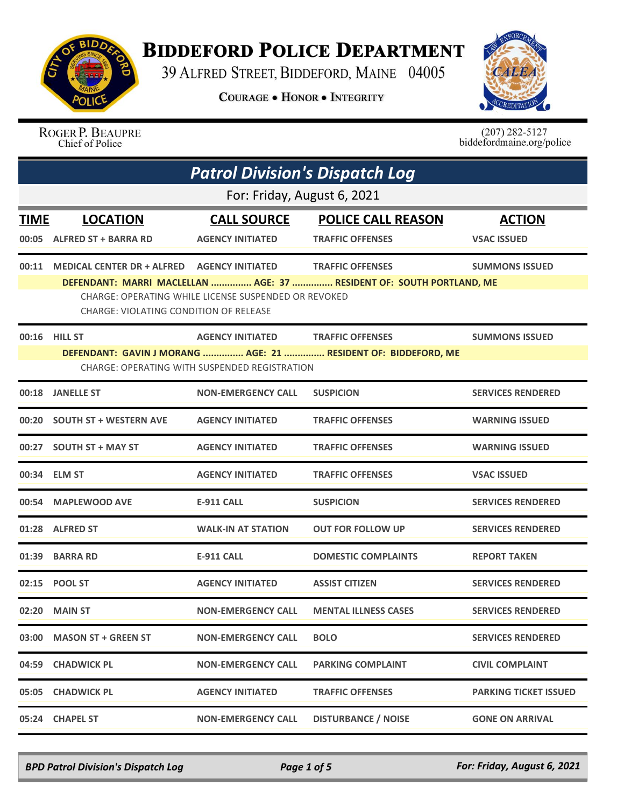

## **BIDDEFORD POLICE DEPARTMENT**

39 ALFRED STREET, BIDDEFORD, MAINE 04005

**COURAGE . HONOR . INTEGRITY** 



ROGER P. BEAUPRE Chief of Police

 $(207)$  282-5127<br>biddefordmaine.org/police

|       | <b>Patrol Division's Dispatch Log</b>                                                                           |                                                      |                                                                      |                              |  |
|-------|-----------------------------------------------------------------------------------------------------------------|------------------------------------------------------|----------------------------------------------------------------------|------------------------------|--|
|       | For: Friday, August 6, 2021                                                                                     |                                                      |                                                                      |                              |  |
| TIME  | <b>LOCATION</b>                                                                                                 | <b>CALL SOURCE</b>                                   | <b>POLICE CALL REASON</b>                                            | <b>ACTION</b>                |  |
|       | 00:05 ALFRED ST + BARRA RD                                                                                      | <b>AGENCY INITIATED</b>                              | <b>TRAFFIC OFFENSES</b>                                              | <b>VSAC ISSUED</b>           |  |
| 00:11 | MEDICAL CENTER DR + ALFRED AGENCY INITIATED                                                                     |                                                      | <b>TRAFFIC OFFENSES</b>                                              | <b>SUMMONS ISSUED</b>        |  |
|       | CHARGE: VIOLATING CONDITION OF RELEASE                                                                          | CHARGE: OPERATING WHILE LICENSE SUSPENDED OR REVOKED | DEFENDANT: MARRI MACLELLAN  AGE: 37  RESIDENT OF: SOUTH PORTLAND, ME |                              |  |
| 00:16 | <b>HILL ST</b>                                                                                                  | <b>AGENCY INITIATED</b>                              | <b>TRAFFIC OFFENSES</b>                                              | <b>SUMMONS ISSUED</b>        |  |
|       | DEFENDANT: GAVIN J MORANG  AGE: 21  RESIDENT OF: BIDDEFORD, ME<br>CHARGE: OPERATING WITH SUSPENDED REGISTRATION |                                                      |                                                                      |                              |  |
|       | 00:18 JANELLE ST                                                                                                | <b>NON-EMERGENCY CALL</b>                            | <b>SUSPICION</b>                                                     | <b>SERVICES RENDERED</b>     |  |
|       | 00:20 SOUTH ST + WESTERN AVE                                                                                    | <b>AGENCY INITIATED</b>                              | <b>TRAFFIC OFFENSES</b>                                              | <b>WARNING ISSUED</b>        |  |
|       | 00:27 SOUTH ST + MAY ST                                                                                         | <b>AGENCY INITIATED</b>                              | <b>TRAFFIC OFFENSES</b>                                              | <b>WARNING ISSUED</b>        |  |
|       | 00:34 ELM ST                                                                                                    | <b>AGENCY INITIATED</b>                              | <b>TRAFFIC OFFENSES</b>                                              | <b>VSAC ISSUED</b>           |  |
|       | 00:54 MAPLEWOOD AVE                                                                                             | <b>E-911 CALL</b>                                    | <b>SUSPICION</b>                                                     | <b>SERVICES RENDERED</b>     |  |
|       | 01:28 ALFRED ST                                                                                                 | <b>WALK-IN AT STATION</b>                            | <b>OUT FOR FOLLOW UP</b>                                             | <b>SERVICES RENDERED</b>     |  |
|       | 01:39 BARRA RD                                                                                                  | <b>E-911 CALL</b>                                    | <b>DOMESTIC COMPLAINTS</b>                                           | <b>REPORT TAKEN</b>          |  |
|       | 02:15 POOL ST                                                                                                   | <b>AGENCY INITIATED</b>                              | <b>ASSIST CITIZEN</b>                                                | <b>SERVICES RENDERED</b>     |  |
|       | 02:20 MAIN ST                                                                                                   | <b>NON-EMERGENCY CALL</b>                            | <b>MENTAL ILLNESS CASES</b>                                          | <b>SERVICES RENDERED</b>     |  |
| 03:00 | <b>MASON ST + GREEN ST</b>                                                                                      | <b>NON-EMERGENCY CALL</b>                            | <b>BOLO</b>                                                          | <b>SERVICES RENDERED</b>     |  |
| 04:59 | <b>CHADWICK PL</b>                                                                                              | <b>NON-EMERGENCY CALL</b>                            | <b>PARKING COMPLAINT</b>                                             | <b>CIVIL COMPLAINT</b>       |  |
| 05:05 | <b>CHADWICK PL</b>                                                                                              | <b>AGENCY INITIATED</b>                              | <b>TRAFFIC OFFENSES</b>                                              | <b>PARKING TICKET ISSUED</b> |  |
|       | 05:24 CHAPEL ST                                                                                                 | <b>NON-EMERGENCY CALL</b>                            | <b>DISTURBANCE / NOISE</b>                                           | <b>GONE ON ARRIVAL</b>       |  |

*BPD Patrol Division's Dispatch Log Page 1 of 5 For: Friday, August 6, 2021*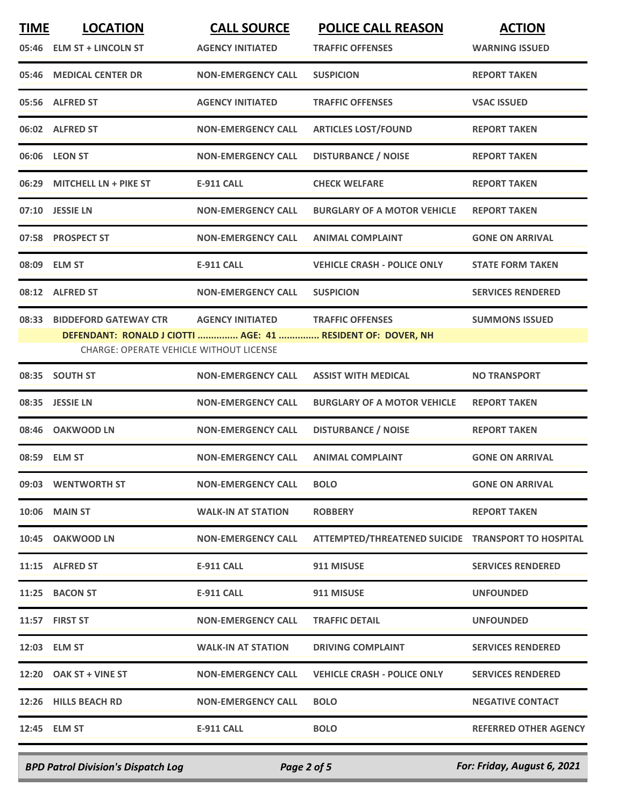| <b>TIME</b> | <b>LOCATION</b>                         | <b>CALL SOURCE</b>        | <b>POLICE CALL REASON</b>                                   | <b>ACTION</b>                |
|-------------|-----------------------------------------|---------------------------|-------------------------------------------------------------|------------------------------|
|             | 05:46 ELM ST + LINCOLN ST               | <b>AGENCY INITIATED</b>   | <b>TRAFFIC OFFENSES</b>                                     | <b>WARNING ISSUED</b>        |
|             | 05:46 MEDICAL CENTER DR                 | <b>NON-EMERGENCY CALL</b> | <b>SUSPICION</b>                                            | <b>REPORT TAKEN</b>          |
|             | 05:56 ALFRED ST                         | <b>AGENCY INITIATED</b>   | <b>TRAFFIC OFFENSES</b>                                     | <b>VSAC ISSUED</b>           |
|             | 06:02 ALFRED ST                         | <b>NON-EMERGENCY CALL</b> | <b>ARTICLES LOST/FOUND</b>                                  | <b>REPORT TAKEN</b>          |
|             | 06:06 LEON ST                           | <b>NON-EMERGENCY CALL</b> | <b>DISTURBANCE / NOISE</b>                                  | <b>REPORT TAKEN</b>          |
|             | 06:29 MITCHELL LN + PIKE ST             | <b>E-911 CALL</b>         | <b>CHECK WELFARE</b>                                        | <b>REPORT TAKEN</b>          |
|             | 07:10 JESSIE LN                         | <b>NON-EMERGENCY CALL</b> | <b>BURGLARY OF A MOTOR VEHICLE</b>                          | <b>REPORT TAKEN</b>          |
|             | 07:58 PROSPECT ST                       | <b>NON-EMERGENCY CALL</b> | <b>ANIMAL COMPLAINT</b>                                     | <b>GONE ON ARRIVAL</b>       |
|             | 08:09 ELM ST                            | <b>E-911 CALL</b>         | <b>VEHICLE CRASH - POLICE ONLY</b>                          | <b>STATE FORM TAKEN</b>      |
|             | 08:12 ALFRED ST                         | <b>NON-EMERGENCY CALL</b> | <b>SUSPICION</b>                                            | <b>SERVICES RENDERED</b>     |
|             | 08:33 BIDDEFORD GATEWAY CTR             | <b>AGENCY INITIATED</b>   | <b>TRAFFIC OFFENSES</b>                                     | <b>SUMMONS ISSUED</b>        |
|             |                                         |                           | DEFENDANT: RONALD J CIOTTI  AGE: 41  RESIDENT OF: DOVER, NH |                              |
|             | CHARGE: OPERATE VEHICLE WITHOUT LICENSE |                           |                                                             |                              |
| 08:35       | <b>SOUTH ST</b>                         | <b>NON-EMERGENCY CALL</b> | <b>ASSIST WITH MEDICAL</b>                                  | <b>NO TRANSPORT</b>          |
|             | 08:35 JESSIE LN                         | <b>NON-EMERGENCY CALL</b> | <b>BURGLARY OF A MOTOR VEHICLE</b>                          | <b>REPORT TAKEN</b>          |
| 08:46       | <b>OAKWOOD LN</b>                       | <b>NON-EMERGENCY CALL</b> | <b>DISTURBANCE / NOISE</b>                                  | <b>REPORT TAKEN</b>          |
|             | 08:59 ELM ST                            | <b>NON-EMERGENCY CALL</b> | <b>ANIMAL COMPLAINT</b>                                     | <b>GONE ON ARRIVAL</b>       |
|             | 09:03 WENTWORTH ST                      | <b>NON-EMERGENCY CALL</b> | <b>BOLO</b>                                                 | <b>GONE ON ARRIVAL</b>       |
|             | <b>10:06 MAIN ST</b>                    | <b>WALK-IN AT STATION</b> | <b>ROBBERY</b>                                              | <b>REPORT TAKEN</b>          |
|             | 10:45 OAKWOOD LN                        | <b>NON-EMERGENCY CALL</b> | ATTEMPTED/THREATENED SUICIDE TRANSPORT TO HOSPITAL          |                              |
|             | 11:15 ALFRED ST                         | E-911 CALL                | 911 MISUSE                                                  | <b>SERVICES RENDERED</b>     |
|             | 11:25 BACON ST                          | E-911 CALL                | 911 MISUSE                                                  | <b>UNFOUNDED</b>             |
|             | 11:57 FIRST ST                          | <b>NON-EMERGENCY CALL</b> | <b>TRAFFIC DETAIL</b>                                       | <b>UNFOUNDED</b>             |
|             | 12:03 ELM ST                            | <b>WALK-IN AT STATION</b> | <b>DRIVING COMPLAINT</b>                                    | <b>SERVICES RENDERED</b>     |
|             | 12:20 OAK ST + VINE ST                  | <b>NON-EMERGENCY CALL</b> | <b>VEHICLE CRASH - POLICE ONLY</b>                          | <b>SERVICES RENDERED</b>     |
|             | 12:26 HILLS BEACH RD                    | <b>NON-EMERGENCY CALL</b> | <b>BOLO</b>                                                 | <b>NEGATIVE CONTACT</b>      |
|             | 12:45 ELM ST                            | <b>E-911 CALL</b>         | <b>BOLO</b>                                                 | <b>REFERRED OTHER AGENCY</b> |
|             |                                         |                           |                                                             |                              |

*BPD Patrol Division's Dispatch Log Page 2 of 5 For: Friday, August 6, 2021*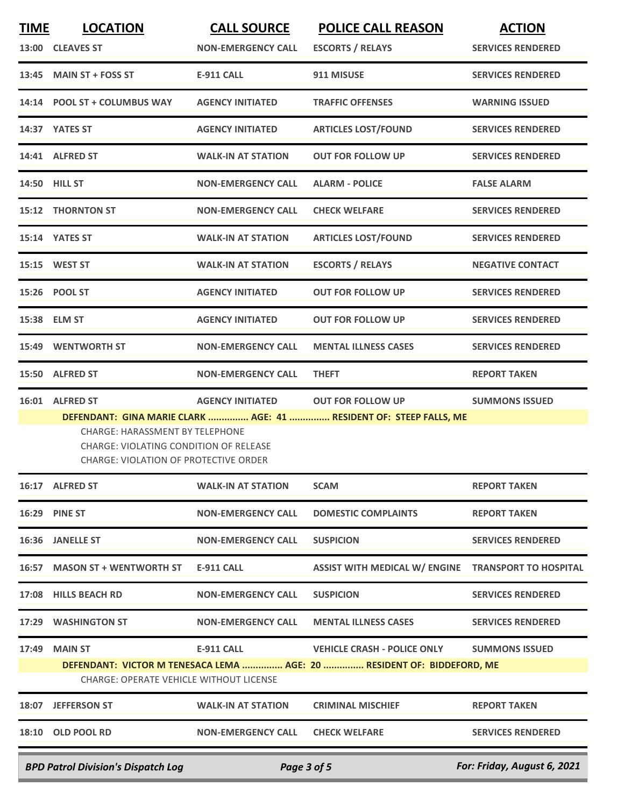| <b>TIME</b>                               | <b>LOCATION</b><br>13:00 CLEAVES ST                                                                                                                        | <b>CALL SOURCE</b><br><b>NON-EMERGENCY CALL</b> | <b>POLICE CALL REASON</b><br><b>ESCORTS / RELAYS</b>                                           | <b>ACTION</b><br><b>SERVICES RENDERED</b> |
|-------------------------------------------|------------------------------------------------------------------------------------------------------------------------------------------------------------|-------------------------------------------------|------------------------------------------------------------------------------------------------|-------------------------------------------|
|                                           | 13:45 MAIN ST + FOSS ST                                                                                                                                    | <b>E-911 CALL</b>                               | 911 MISUSE                                                                                     | <b>SERVICES RENDERED</b>                  |
|                                           |                                                                                                                                                            |                                                 |                                                                                                |                                           |
|                                           | 14:14 POOL ST + COLUMBUS WAY                                                                                                                               | <b>AGENCY INITIATED</b>                         | <b>TRAFFIC OFFENSES</b>                                                                        | <b>WARNING ISSUED</b>                     |
|                                           | 14:37 YATES ST                                                                                                                                             | <b>AGENCY INITIATED</b>                         | <b>ARTICLES LOST/FOUND</b>                                                                     | <b>SERVICES RENDERED</b>                  |
|                                           | 14:41 ALFRED ST                                                                                                                                            | <b>WALK-IN AT STATION</b>                       | <b>OUT FOR FOLLOW UP</b>                                                                       | <b>SERVICES RENDERED</b>                  |
|                                           | 14:50 HILL ST                                                                                                                                              | <b>NON-EMERGENCY CALL</b>                       | <b>ALARM - POLICE</b>                                                                          | <b>FALSE ALARM</b>                        |
|                                           | <b>15:12 THORNTON ST</b>                                                                                                                                   | <b>NON-EMERGENCY CALL</b>                       | <b>CHECK WELFARE</b>                                                                           | <b>SERVICES RENDERED</b>                  |
|                                           | 15:14 YATES ST                                                                                                                                             | <b>WALK-IN AT STATION</b>                       | <b>ARTICLES LOST/FOUND</b>                                                                     | <b>SERVICES RENDERED</b>                  |
|                                           | 15:15 WEST ST                                                                                                                                              | <b>WALK-IN AT STATION</b>                       | <b>ESCORTS / RELAYS</b>                                                                        | <b>NEGATIVE CONTACT</b>                   |
|                                           | 15:26 POOL ST                                                                                                                                              | <b>AGENCY INITIATED</b>                         | <b>OUT FOR FOLLOW UP</b>                                                                       | <b>SERVICES RENDERED</b>                  |
|                                           | 15:38 ELM ST                                                                                                                                               | <b>AGENCY INITIATED</b>                         | <b>OUT FOR FOLLOW UP</b>                                                                       | <b>SERVICES RENDERED</b>                  |
| 15:49                                     | <b>WENTWORTH ST</b>                                                                                                                                        | <b>NON-EMERGENCY CALL</b>                       | <b>MENTAL ILLNESS CASES</b>                                                                    | <b>SERVICES RENDERED</b>                  |
| 15:50                                     | <b>ALFRED ST</b>                                                                                                                                           | <b>NON-EMERGENCY CALL</b>                       | <b>THEFT</b>                                                                                   | <b>REPORT TAKEN</b>                       |
|                                           | 16:01 ALFRED ST<br><b>CHARGE: HARASSMENT BY TELEPHONE</b><br><b>CHARGE: VIOLATING CONDITION OF RELEASE</b><br><b>CHARGE: VIOLATION OF PROTECTIVE ORDER</b> | <b>AGENCY INITIATED</b>                         | <b>OUT FOR FOLLOW UP</b><br>DEFENDANT: GINA MARIE CLARK  AGE: 41  RESIDENT OF: STEEP FALLS, ME | <b>SUMMONS ISSUED</b>                     |
|                                           | 16:17 ALFRED ST                                                                                                                                            | <b>WALK-IN AT STATION</b>                       | <b>SCAM</b>                                                                                    | <b>REPORT TAKEN</b>                       |
| 16:29                                     | <b>PINE ST</b>                                                                                                                                             | <b>NON-EMERGENCY CALL</b>                       | <b>DOMESTIC COMPLAINTS</b>                                                                     | <b>REPORT TAKEN</b>                       |
|                                           | 16:36 JANELLE ST                                                                                                                                           | <b>NON-EMERGENCY CALL</b>                       | <b>SUSPICION</b>                                                                               | <b>SERVICES RENDERED</b>                  |
|                                           | 16:57 MASON ST + WENTWORTH ST                                                                                                                              | <b>E-911 CALL</b>                               | ASSIST WITH MEDICAL W/ ENGINE TRANSPORT TO HOSPITAL                                            |                                           |
| 17:08                                     | <b>HILLS BEACH RD</b>                                                                                                                                      | <b>NON-EMERGENCY CALL</b>                       | <b>SUSPICION</b>                                                                               | <b>SERVICES RENDERED</b>                  |
| 17:29                                     | <b>WASHINGTON ST</b>                                                                                                                                       | <b>NON-EMERGENCY CALL</b>                       | <b>MENTAL ILLNESS CASES</b>                                                                    | <b>SERVICES RENDERED</b>                  |
| 17:49                                     | <b>MAIN ST</b>                                                                                                                                             | <b>E-911 CALL</b>                               | <b>VEHICLE CRASH - POLICE ONLY</b>                                                             | <b>SUMMONS ISSUED</b>                     |
|                                           | <b>CHARGE: OPERATE VEHICLE WITHOUT LICENSE</b>                                                                                                             |                                                 | DEFENDANT: VICTOR M TENESACA LEMA  AGE: 20  RESIDENT OF: BIDDEFORD, ME                         |                                           |
|                                           | 18:07 JEFFERSON ST                                                                                                                                         | <b>WALK-IN AT STATION</b>                       | <b>CRIMINAL MISCHIEF</b>                                                                       | <b>REPORT TAKEN</b>                       |
|                                           | 18:10 OLD POOL RD                                                                                                                                          | <b>NON-EMERGENCY CALL</b>                       | <b>CHECK WELFARE</b>                                                                           | <b>SERVICES RENDERED</b>                  |
| <b>BPD Patrol Division's Dispatch Log</b> |                                                                                                                                                            | Page 3 of 5                                     |                                                                                                | For: Friday, August 6, 2021               |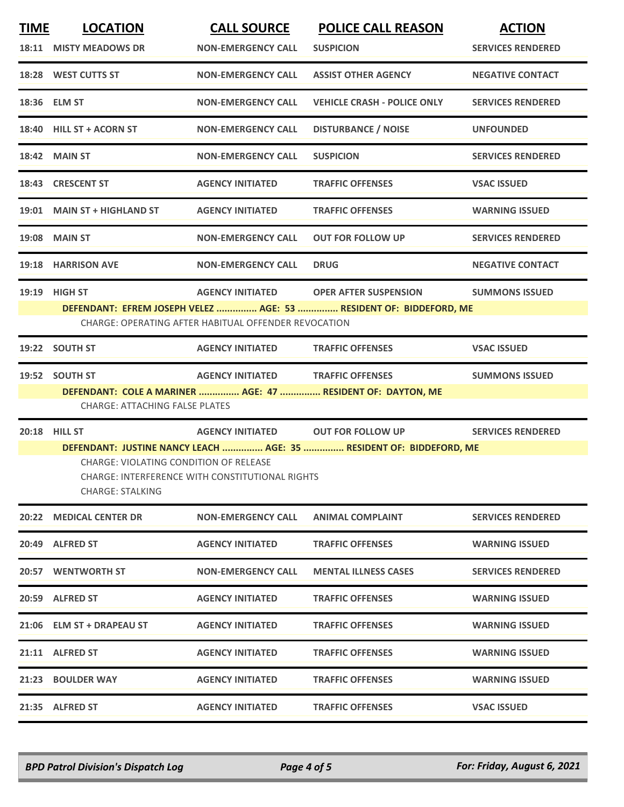| <b>TIME</b> | <b>LOCATION</b>                                                                                  | <b>CALL SOURCE</b>                                   | <b>POLICE CALL REASON</b>                                           | <b>ACTION</b>            |
|-------------|--------------------------------------------------------------------------------------------------|------------------------------------------------------|---------------------------------------------------------------------|--------------------------|
|             | 18:11 MISTY MEADOWS DR                                                                           | <b>NON-EMERGENCY CALL</b>                            | <b>SUSPICION</b>                                                    | <b>SERVICES RENDERED</b> |
|             | 18:28 WEST CUTTS ST                                                                              | <b>NON-EMERGENCY CALL</b>                            | <b>ASSIST OTHER AGENCY</b>                                          | <b>NEGATIVE CONTACT</b>  |
|             | 18:36 ELM ST                                                                                     | <b>NON-EMERGENCY CALL</b>                            | <b>VEHICLE CRASH - POLICE ONLY</b>                                  | <b>SERVICES RENDERED</b> |
|             | 18:40 HILL ST + ACORN ST                                                                         | <b>NON-EMERGENCY CALL</b>                            | <b>DISTURBANCE / NOISE</b>                                          | <b>UNFOUNDED</b>         |
|             | <b>18:42 MAIN ST</b>                                                                             | <b>NON-EMERGENCY CALL</b>                            | <b>SUSPICION</b>                                                    | <b>SERVICES RENDERED</b> |
|             | 18:43 CRESCENT ST                                                                                | <b>AGENCY INITIATED</b>                              | <b>TRAFFIC OFFENSES</b>                                             | <b>VSAC ISSUED</b>       |
|             | 19:01 MAIN ST + HIGHLAND ST                                                                      | <b>AGENCY INITIATED</b>                              | <b>TRAFFIC OFFENSES</b>                                             | <b>WARNING ISSUED</b>    |
|             | <b>19:08 MAIN ST</b>                                                                             | <b>NON-EMERGENCY CALL</b>                            | <b>OUT FOR FOLLOW UP</b>                                            | <b>SERVICES RENDERED</b> |
|             | 19:18 HARRISON AVE                                                                               | <b>NON-EMERGENCY CALL</b>                            | <b>DRUG</b>                                                         | <b>NEGATIVE CONTACT</b>  |
|             | 19:19 HIGH ST                                                                                    |                                                      | AGENCY INITIATED OPER AFTER SUSPENSION                              | <b>SUMMONS ISSUED</b>    |
|             |                                                                                                  | CHARGE: OPERATING AFTER HABITUAL OFFENDER REVOCATION | DEFENDANT: EFREM JOSEPH VELEZ  AGE: 53  RESIDENT OF: BIDDEFORD, ME  |                          |
|             |                                                                                                  |                                                      |                                                                     |                          |
|             | 19:22 SOUTH ST                                                                                   | <b>AGENCY INITIATED</b>                              | <b>TRAFFIC OFFENSES</b>                                             | <b>VSAC ISSUED</b>       |
|             | 19:52 SOUTH ST                                                                                   | <b>AGENCY INITIATED TRAFFIC OFFENSES</b>             |                                                                     | <b>SUMMONS ISSUED</b>    |
|             | <b>CHARGE: ATTACHING FALSE PLATES</b>                                                            |                                                      | DEFENDANT: COLE A MARINER  AGE: 47  RESIDENT OF: DAYTON, ME         |                          |
|             |                                                                                                  |                                                      |                                                                     |                          |
|             | 20:18 HILL ST                                                                                    | AGENCY INITIATED OUT FOR FOLLOW UP                   |                                                                     | <b>SERVICES RENDERED</b> |
|             |                                                                                                  |                                                      | DEFENDANT: JUSTINE NANCY LEACH  AGE: 35  RESIDENT OF: BIDDEFORD, ME |                          |
|             | <b>CHARGE: VIOLATING CONDITION OF RELEASE</b><br>CHARGE: INTERFERENCE WITH CONSTITUTIONAL RIGHTS |                                                      |                                                                     |                          |
|             | CHARGE: STALKING                                                                                 |                                                      |                                                                     |                          |
|             | 20:22 MEDICAL CENTER DR                                                                          | <b>NON-EMERGENCY CALL</b>                            | <b>ANIMAL COMPLAINT</b>                                             | <b>SERVICES RENDERED</b> |
|             | 20:49 ALFRED ST                                                                                  | <b>AGENCY INITIATED</b>                              | <b>TRAFFIC OFFENSES</b>                                             | <b>WARNING ISSUED</b>    |
|             | 20:57 WENTWORTH ST                                                                               | <b>NON-EMERGENCY CALL</b>                            | <b>MENTAL ILLNESS CASES</b>                                         | <b>SERVICES RENDERED</b> |
|             | 20:59 ALFRED ST                                                                                  | <b>AGENCY INITIATED</b>                              | <b>TRAFFIC OFFENSES</b>                                             | <b>WARNING ISSUED</b>    |
|             | 21:06 ELM ST + DRAPEAU ST                                                                        | <b>AGENCY INITIATED</b>                              | <b>TRAFFIC OFFENSES</b>                                             | <b>WARNING ISSUED</b>    |
|             | 21:11 ALFRED ST                                                                                  | <b>AGENCY INITIATED</b>                              | <b>TRAFFIC OFFENSES</b>                                             | <b>WARNING ISSUED</b>    |
|             | 21:23 BOULDER WAY                                                                                | <b>AGENCY INITIATED</b>                              | <b>TRAFFIC OFFENSES</b>                                             | <b>WARNING ISSUED</b>    |
|             | 21:35 ALFRED ST                                                                                  | <b>AGENCY INITIATED</b>                              | <b>TRAFFIC OFFENSES</b>                                             | <b>VSAC ISSUED</b>       |